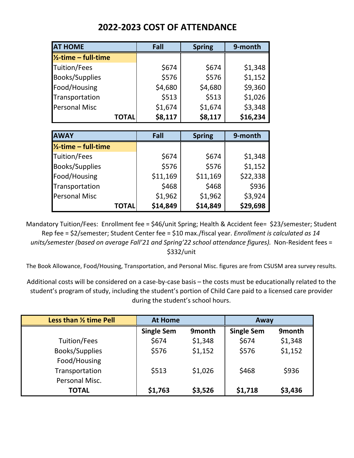| <b>AT HOME</b>                  |              | Fall        | <b>Spring</b> | 9-month  |  |
|---------------------------------|--------------|-------------|---------------|----------|--|
| $\frac{1}{2}$ -time – full-time |              |             |               |          |  |
| Tuition/Fees                    |              | \$674       | \$674         | \$1,348  |  |
| <b>Books/Supplies</b>           |              | \$576       | \$576         | \$1,152  |  |
| Food/Housing                    |              | \$4,680     | \$4,680       | \$9,360  |  |
| Transportation                  |              | \$513       | \$513         | \$1,026  |  |
| <b>Personal Misc</b>            |              | \$1,674     | \$1,674       | \$3,348  |  |
|                                 | <b>TOTAL</b> | \$8,117     | \$8,117       | \$16,234 |  |
|                                 |              |             |               |          |  |
| <b>AWAY</b>                     |              | Fall        | <b>Spring</b> | 9-month  |  |
| $\frac{1}{2}$ -time – full-time |              |             |               |          |  |
| <b>I</b> Tuition/Fees           |              | <b>S674</b> | <b>S674</b>   | \$1 348  |  |

## **2022-2023 COST OF ATTENDANCE**

| <b>IAWAY</b>                    | Fall     | <b>Spring</b> | 9-month  |  |
|---------------------------------|----------|---------------|----------|--|
| $\frac{1}{2}$ -time – full-time |          |               |          |  |
| Tuition/Fees                    | \$674    | \$674         | \$1,348  |  |
| <b>Books/Supplies</b>           | \$576    | \$576         | \$1,152  |  |
| Food/Housing                    | \$11,169 | \$11,169      | \$22,338 |  |
| Transportation                  | \$468    | \$468         | \$936    |  |
| <b>Personal Misc</b>            | \$1,962  | \$1,962       | \$3,924  |  |
| <b>TOTAL</b>                    | \$14,849 | \$14,849      | \$29,698 |  |

Mandatory Tuition/Fees: Enrollment fee = \$46/unit Spring; Health & Accident fee= \$23/semester; Student Rep fee = \$2/semester; Student Center fee = \$10 max./fiscal year. *Enrollment is calculated as 14 units/semester (based on average Fall'21 and Spring'22 school attendance figures).* Non-Resident fees = \$332/unit

The Book Allowance, Food/Housing, Transportation, and Personal Misc. figures are from CSUSM area survey results.

Additional costs will be considered on a case-by-case basis – the costs must be educationally related to the student's program of study, including the student's portion of Child Care paid to a licensed care provider during the student's school hours.

| Less than 1/2 time Pell | <b>At Home</b>    |                    | Away              |         |
|-------------------------|-------------------|--------------------|-------------------|---------|
|                         | <b>Single Sem</b> | 9 <sub>month</sub> | <b>Single Sem</b> | 9month  |
| Tuition/Fees            | \$674             | \$1,348            | \$674             | \$1,348 |
| Books/Supplies          | \$576             | \$1,152            | \$576             | \$1,152 |
| Food/Housing            |                   |                    |                   |         |
| Transportation          | \$513             | \$1,026            | \$468             | \$936   |
| Personal Misc.          |                   |                    |                   |         |
| <b>TOTAL</b>            | \$1,763           | \$3,526            | \$1,718           | \$3,436 |